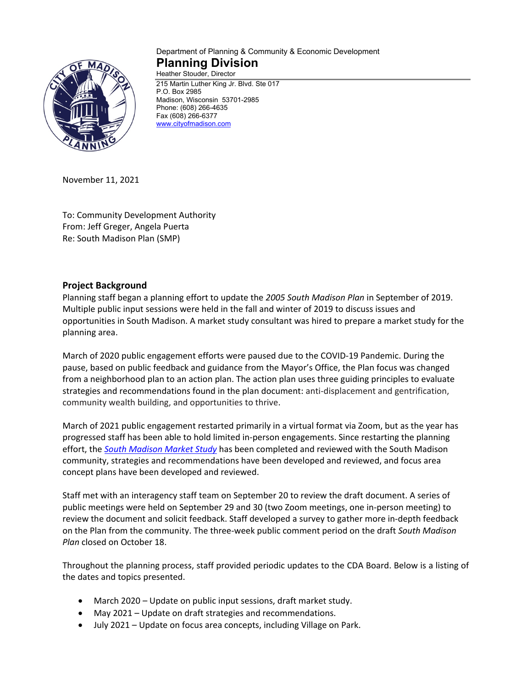

#### Department of Planning & Community & Economic Development **Planning Division** Heather Stouder, Director

215 Martin Luther King Jr. Blvd. Ste 017 P.O. Box 2985 Madison, Wisconsin 53701-2985 Phone: (608) 266-4635 Fax (608) 266-6377 [www.cityofmadison.com](http://www.cityofmadison.com/)

November 11, 2021

To: Community Development Authority From: Jeff Greger, Angela Puerta Re: South Madison Plan (SMP)

# **Project Background**

Planning staff began a planning effort to update the *2005 South Madison Plan* in September of 2019. Multiple public input sessions were held in the fall and winter of 2019 to discuss issues and opportunities in South Madison. A market study consultant was hired to prepare a market study for the planning area.

March of 2020 public engagement efforts were paused due to the COVID-19 Pandemic. During the pause, based on public feedback and guidance from the Mayor's Office, the Plan focus was changed from a neighborhood plan to an action plan. The action plan uses three guiding principles to evaluate strategies and recommendations found in the plan document: anti-displacement and gentrification, community wealth building, and opportunities to thrive.

March of 2021 public engagement restarted primarily in a virtual format via Zoom, but as the year has progressed staff has been able to hold limited in-person engagements. Since restarting the planning effort, the *[South Madison Market Study](https://www.cityofmadison.com/dpced/planning/documents/South%20Madison%20Market%20Study_V12.pdf)* has been completed and reviewed with the South Madison community, strategies and recommendations have been developed and reviewed, and focus area concept plans have been developed and reviewed.

Staff met with an interagency staff team on September 20 to review the draft document. A series of public meetings were held on September 29 and 30 (two Zoom meetings, one in-person meeting) to review the document and solicit feedback. Staff developed a survey to gather more in-depth feedback on the Plan from the community. The three-week public comment period on the draft *South Madison Plan* closed on October 18.

Throughout the planning process, staff provided periodic updates to the CDA Board. Below is a listing of the dates and topics presented.

- March 2020 Update on public input sessions, draft market study.
- May 2021 Update on draft strategies and recommendations.
- July 2021 Update on focus area concepts, including Village on Park.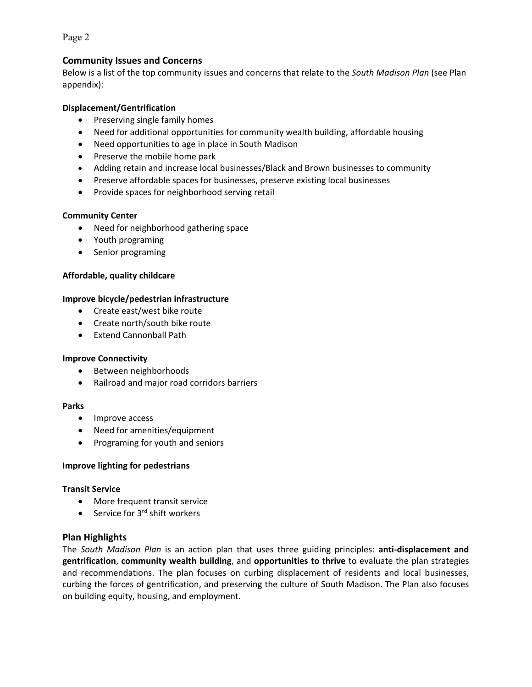Page 2

## **Community Issues and Concerns**

Below is a list of the top community issues and concerns that relate to the *South Madison Plan* (see Plan appendix):

## **Displacement/Gentrification**

- Preserving single family homes
- Need for additional opportunities for community wealth building, affordable housing
- Need opportunities to age in place in South Madison
- Preserve the mobile home park
- Adding retain and increase local businesses/Black and Brown businesses to community
- Preserve affordable spaces for businesses, preserve existing local businesses
- Provide spaces for neighborhood serving retail

#### **Community Center**

- Need for neighborhood gathering space
- Youth programing
- Senior programing

## **Affordable, quality childcare**

#### **Improve bicycle/pedestrian infrastructure**

- Create east/west bike route
- Create north/south bike route
- Extend Cannonball Path

#### **Improve Connectivity**

- Between neighborhoods
- Railroad and major road corridors barriers

#### **Parks**

- Improve access
- Need for amenities/equipment
- Programing for youth and seniors

## **Improve lighting for pedestrians**

#### **Transit Service**

- More frequent transit service
- Service for  $3<sup>rd</sup>$  shift workers

## **Plan Highlights**

The *South Madison Plan* is an action plan that uses three guiding principles: **anti-displacement and gentrification**, **community wealth building**, and **opportunities to thrive** to evaluate the plan strategies and recommendations. The plan focuses on curbing displacement of residents and local businesses, curbing the forces of gentrification, and preserving the culture of South Madison. The Plan also focuses on building equity, housing, and employment.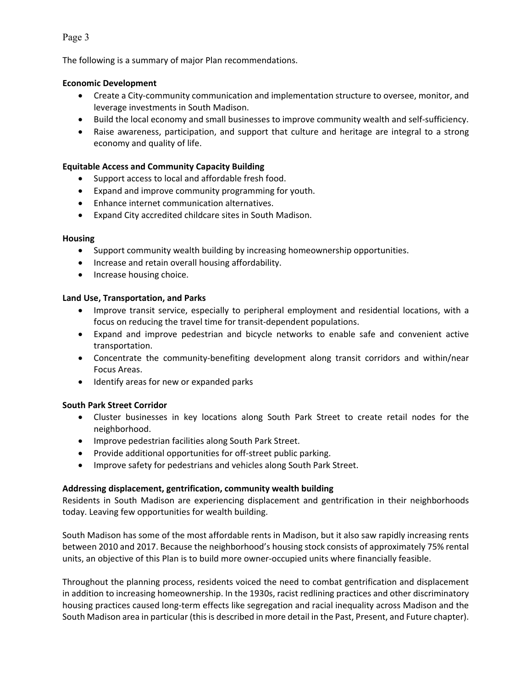## Page 3

The following is a summary of major Plan recommendations.

## **Economic Development**

- Create a City-community communication and implementation structure to oversee, monitor, and leverage investments in South Madison.
- Build the local economy and small businesses to improve community wealth and self-sufficiency.
- Raise awareness, participation, and support that culture and heritage are integral to a strong economy and quality of life.

## **Equitable Access and Community Capacity Building**

- Support access to local and affordable fresh food.
- Expand and improve community programming for youth.
- Enhance internet communication alternatives.
- Expand City accredited childcare sites in South Madison.

## **Housing**

- Support community wealth building by increasing homeownership opportunities.
- Increase and retain overall housing affordability.
- Increase housing choice.

## **Land Use, Transportation, and Parks**

- Improve transit service, especially to peripheral employment and residential locations, with a focus on reducing the travel time for transit-dependent populations.
- Expand and improve pedestrian and bicycle networks to enable safe and convenient active transportation.
- Concentrate the community-benefiting development along transit corridors and within/near Focus Areas.
- Identify areas for new or expanded parks

## **South Park Street Corridor**

- Cluster businesses in key locations along South Park Street to create retail nodes for the neighborhood.
- Improve pedestrian facilities along South Park Street.
- Provide additional opportunities for off-street public parking.
- Improve safety for pedestrians and vehicles along South Park Street.

## **Addressing displacement, gentrification, community wealth building**

Residents in South Madison are experiencing displacement and gentrification in their neighborhoods today. Leaving few opportunities for wealth building.

South Madison has some of the most affordable rents in Madison, but it also saw rapidly increasing rents between 2010 and 2017. Because the neighborhood's housing stock consists of approximately 75% rental units, an objective of this Plan is to build more owner-occupied units where financially feasible.

Throughout the planning process, residents voiced the need to combat gentrification and displacement in addition to increasing homeownership. In the 1930s, racist redlining practices and other discriminatory housing practices caused long-term effects like segregation and racial inequality across Madison and the South Madison area in particular (this is described in more detail in the Past, Present, and Future chapter).